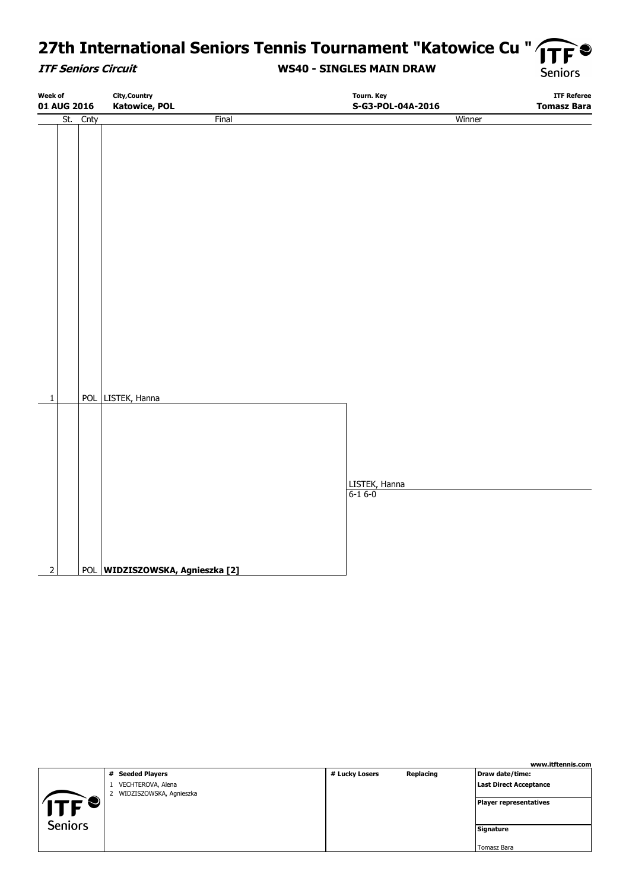# **27th International Seniors Tennis Tournament "Katowice Cu "**

#### **ITF Seniors Circuit**

#### **WS40 - SINGLES MAIN DRAW**

**Seniors** 

| <b>Week of</b><br>01 AUG 2016 |             |  | <b>City, Country</b><br><b>Katowice, POL</b> | Tourn. Key<br>S-G3-POL-04A-2016 | <b>ITF Referee</b><br><b>Tomasz Bara</b> |
|-------------------------------|-------------|--|----------------------------------------------|---------------------------------|------------------------------------------|
|                               | St.<br>Cnty |  | <b>Final</b>                                 | Winner                          |                                          |
|                               |             |  |                                              |                                 |                                          |
|                               |             |  |                                              |                                 |                                          |
|                               |             |  |                                              |                                 |                                          |
|                               |             |  |                                              |                                 |                                          |
|                               |             |  |                                              |                                 |                                          |
|                               |             |  |                                              |                                 |                                          |
|                               |             |  |                                              |                                 |                                          |
|                               |             |  |                                              |                                 |                                          |
|                               |             |  |                                              |                                 |                                          |
|                               |             |  |                                              |                                 |                                          |
|                               |             |  |                                              |                                 |                                          |
|                               |             |  |                                              |                                 |                                          |
|                               |             |  |                                              |                                 |                                          |
|                               |             |  |                                              |                                 |                                          |
| $\overline{1}$                |             |  | POL LISTEK, Hanna                            |                                 |                                          |
|                               |             |  |                                              |                                 |                                          |
|                               |             |  |                                              |                                 |                                          |
|                               |             |  |                                              |                                 |                                          |
|                               |             |  |                                              |                                 |                                          |
|                               |             |  |                                              | LISTEK, Hanna                   |                                          |
|                               |             |  |                                              | $6-16-0$                        |                                          |
|                               |             |  |                                              |                                 |                                          |
|                               |             |  |                                              |                                 |                                          |
|                               |             |  |                                              |                                 |                                          |
| $\overline{2}$                |             |  | POL WIDZISZOWSKA, Agnieszka [2]              |                                 |                                          |

|                |                                              |                |           | www.itftennis.com             |
|----------------|----------------------------------------------|----------------|-----------|-------------------------------|
|                | # Seeded Players                             | # Lucky Losers | Replacing | Draw date/time:               |
|                | VECHTEROVA, Alena<br>WIDZISZOWSKA, Agnieszka |                |           | <b>Last Direct Acceptance</b> |
| T              |                                              |                |           | Player representatives        |
| <b>Seniors</b> |                                              |                |           | Signature                     |
|                |                                              |                |           | Tomasz Bara                   |